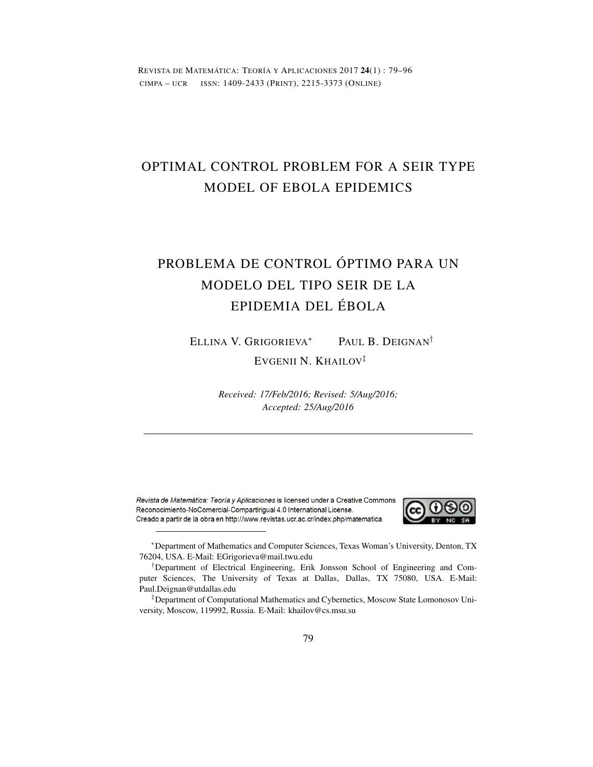REVISTA DE MATEMÁTICA: TEORÍA Y APLICACIONES 2017 24(1) : 79–96 CIMPA – UCR ISSN: 1409-2433 (PRINT), 2215-3373 (ONLINE)

# OPTIMAL CONTROL PROBLEM FOR A SEIR TYPE MODEL OF EBOLA EPIDEMICS

# PROBLEMA DE CONTROL ÓPTIMO PARA UN MODELO DEL TIPO SEIR DE LA EPIDEMIA DEL ÉBOLA

ELLINA V. GRIGORIEVA*<sup>∗</sup>* PAUL B. DEIGNAN*†*

EVGENII N. KHAILOV*‡*

*Received: 17/Feb/2016; Revised: 5/Aug/2016; Accepted: 25/Aug/2016*

Revista de Matemática: Teoría y Aplicaciones is licensed under a Creative Commons Reconocimiento-NoComercial-Compartirigual 4.0 International License. Creado a partir de la obra en http://www.revistas.ucr.ac.cr/index.php/matematica



*<sup>∗</sup>*Department of Mathematics and Computer Sciences, Texas Woman's University, Denton, TX 76204, USA. E-Mail: EGrigorieva@mail.twu.edu

*‡*Department of Computational Mathematics and Cybernetics, Moscow State Lomonosov University, Moscow, 119992, Russia. E-Mail: khailov@cs.msu.su

*<sup>†</sup>*Department of Electrical Engineering, Erik Jonsson School of Engineering and Computer Sciences, The University of Texas at Dallas, Dallas, TX 75080, USA. E-Mail: Paul.Deignan@utdallas.edu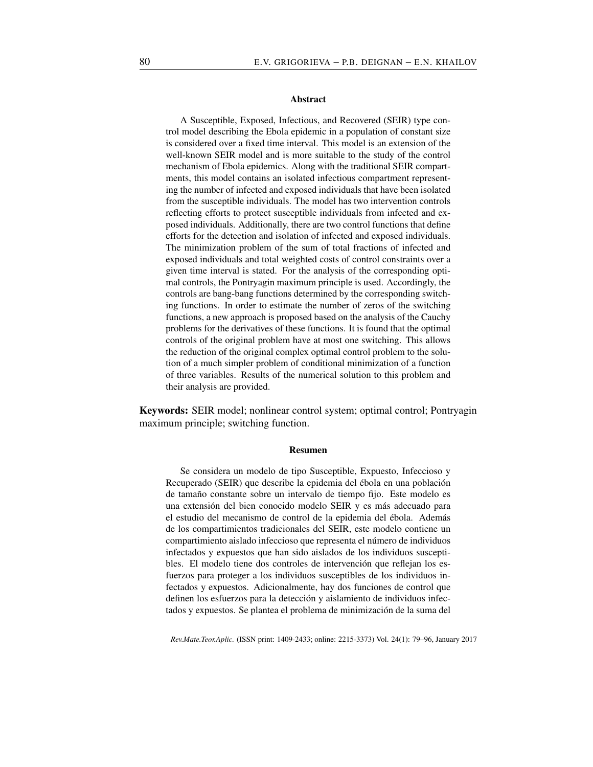#### Abstract

A Susceptible, Exposed, Infectious, and Recovered (SEIR) type control model describing the Ebola epidemic in a population of constant size is considered over a fixed time interval. This model is an extension of the well-known SEIR model and is more suitable to the study of the control mechanism of Ebola epidemics. Along with the traditional SEIR compartments, this model contains an isolated infectious compartment representing the number of infected and exposed individuals that have been isolated from the susceptible individuals. The model has two intervention controls reflecting efforts to protect susceptible individuals from infected and exposed individuals. Additionally, there are two control functions that define efforts for the detection and isolation of infected and exposed individuals. The minimization problem of the sum of total fractions of infected and exposed individuals and total weighted costs of control constraints over a given time interval is stated. For the analysis of the corresponding optimal controls, the Pontryagin maximum principle is used. Accordingly, the controls are bang-bang functions determined by the corresponding switching functions. In order to estimate the number of zeros of the switching functions, a new approach is proposed based on the analysis of the Cauchy problems for the derivatives of these functions. It is found that the optimal controls of the original problem have at most one switching. This allows the reduction of the original complex optimal control problem to the solution of a much simpler problem of conditional minimization of a function of three variables. Results of the numerical solution to this problem and their analysis are provided.

Keywords: SEIR model; nonlinear control system; optimal control; Pontryagin maximum principle; switching function.

#### Resumen

Se considera un modelo de tipo Susceptible, Expuesto, Infeccioso y Recuperado (SEIR) que describe la epidemia del ébola en una población de tamaño constante sobre un intervalo de tiempo fijo. Este modelo es una extensión del bien conocido modelo SEIR y es más adecuado para el estudio del mecanismo de control de la epidemia del ébola. Además de los compartimientos tradicionales del SEIR, este modelo contiene un compartimiento aislado infeccioso que representa el número de individuos infectados y expuestos que han sido aislados de los individuos susceptibles. El modelo tiene dos controles de intervención que reflejan los esfuerzos para proteger a los individuos susceptibles de los individuos infectados y expuestos. Adicionalmente, hay dos funciones de control que definen los esfuerzos para la detección y aislamiento de individuos infectados y expuestos. Se plantea el problema de minimización de la suma del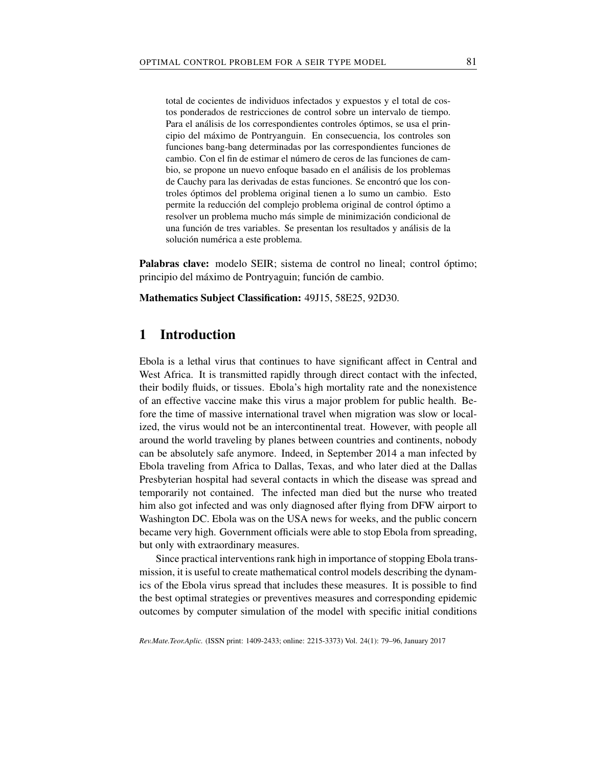total de cocientes de individuos infectados y expuestos y el total de costos ponderados de restricciones de control sobre un intervalo de tiempo. Para el análisis de los correspondientes controles óptimos, se usa el principio del máximo de Pontryanguin. En consecuencia, los controles son funciones bang-bang determinadas por las correspondientes funciones de cambio. Con el fin de estimar el número de ceros de las funciones de cambio, se propone un nuevo enfoque basado en el análisis de los problemas de Cauchy para las derivadas de estas funciones. Se encontró que los controles óptimos del problema original tienen a lo sumo un cambio. Esto permite la reducción del complejo problema original de control óptimo a resolver un problema mucho más simple de minimización condicional de una función de tres variables. Se presentan los resultados y análisis de la solución numérica a este problema.

Palabras clave: modelo SEIR; sistema de control no lineal; control óptimo; principio del máximo de Pontryaguin; función de cambio.

Mathematics Subject Classification: 49J15, 58E25, 92D30.

# 1 Introduction

Ebola is a lethal virus that continues to have significant affect in Central and West Africa. It is transmitted rapidly through direct contact with the infected, their bodily fluids, or tissues. Ebola's high mortality rate and the nonexistence of an effective vaccine make this virus a major problem for public health. Before the time of massive international travel when migration was slow or localized, the virus would not be an intercontinental treat. However, with people all around the world traveling by planes between countries and continents, nobody can be absolutely safe anymore. Indeed, in September 2014 a man infected by Ebola traveling from Africa to Dallas, Texas, and who later died at the Dallas Presbyterian hospital had several contacts in which the disease was spread and temporarily not contained. The infected man died but the nurse who treated him also got infected and was only diagnosed after flying from DFW airport to Washington DC. Ebola was on the USA news for weeks, and the public concern became very high. Government officials were able to stop Ebola from spreading, but only with extraordinary measures.

Since practical interventions rank high in importance of stopping Ebola transmission, it is useful to create mathematical control models describing the dynamics of the Ebola virus spread that includes these measures. It is possible to find the best optimal strategies or preventives measures and corresponding epidemic outcomes by computer simulation of the model with specific initial conditions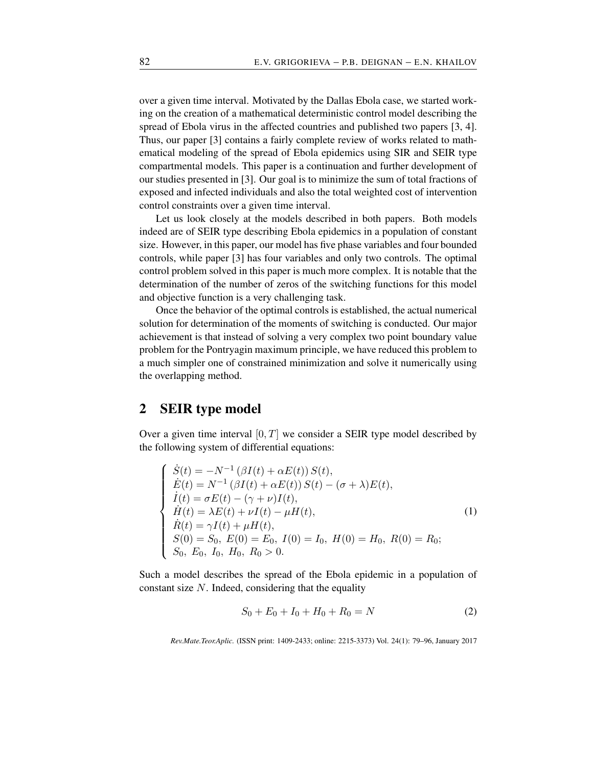over a given time interval. Motivated by the Dallas Ebola case, we started working on the creation of a mathematical deterministic control model describing the spread of Ebola virus in the affected countries and published two papers [3, 4]. Thus, our paper [3] contains a fairly complete review of works related to mathematical modeling of the spread of Ebola epidemics using SIR and SEIR type compartmental models. This paper is a continuation and further development of our studies presented in [3]. Our goal is to minimize the sum of total fractions of exposed and infected individuals and also the total weighted cost of intervention control constraints over a given time interval.

Let us look closely at the models described in both papers. Both models indeed are of SEIR type describing Ebola epidemics in a population of constant size. However, in this paper, our model has five phase variables and four bounded controls, while paper [3] has four variables and only two controls. The optimal control problem solved in this paper is much more complex. It is notable that the determination of the number of zeros of the switching functions for this model and objective function is a very challenging task.

Once the behavior of the optimal controls is established, the actual numerical solution for determination of the moments of switching is conducted. Our major achievement is that instead of solving a very complex two point boundary value problem for the Pontryagin maximum principle, we have reduced this problem to a much simpler one of constrained minimization and solve it numerically using the overlapping method.

# 2 SEIR type model

Over a given time interval [0*, T*] we consider a SEIR type model described by the following system of differential equations:

$$
\begin{cases}\n\dot{S}(t) = -N^{-1} (\beta I(t) + \alpha E(t)) S(t), \\
\dot{E}(t) = N^{-1} (\beta I(t) + \alpha E(t)) S(t) - (\sigma + \lambda) E(t), \\
\dot{I}(t) = \sigma E(t) - (\gamma + \nu) I(t), \\
\dot{H}(t) = \lambda E(t) + \nu I(t) - \mu H(t), \\
\dot{R}(t) = \gamma I(t) + \mu H(t), \\
S(0) = S_0, E(0) = E_0, I(0) = I_0, H(0) = H_0, R(0) = R_0; \\
S_0, E_0, I_0, H_0, R_0 > 0.\n\end{cases}
$$
\n(1)

Such a model describes the spread of the Ebola epidemic in a population of constant size *N*. Indeed, considering that the equality

$$
S_0 + E_0 + I_0 + H_0 + R_0 = N \tag{2}
$$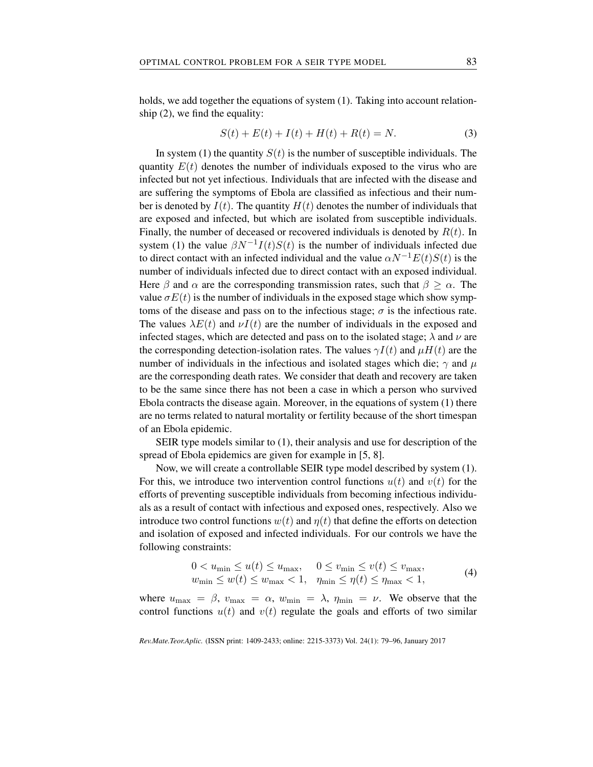holds, we add together the equations of system (1). Taking into account relationship (2), we find the equality:

$$
S(t) + E(t) + I(t) + H(t) + R(t) = N.
$$
 (3)

In system (1) the quantity  $S(t)$  is the number of susceptible individuals. The quantity  $E(t)$  denotes the number of individuals exposed to the virus who are infected but not yet infectious. Individuals that are infected with the disease and are suffering the symptoms of Ebola are classified as infectious and their number is denoted by  $I(t)$ . The quantity  $H(t)$  denotes the number of individuals that are exposed and infected, but which are isolated from susceptible individuals. Finally, the number of deceased or recovered individuals is denoted by *R*(*t*). In system (1) the value  $\beta N^{-1}I(t)S(t)$  is the number of individuals infected due to direct contact with an infected individual and the value  $\alpha N^{-1}E(t)S(t)$  is the number of individuals infected due to direct contact with an exposed individual. Here  $\beta$  and  $\alpha$  are the corresponding transmission rates, such that  $\beta \geq \alpha$ . The value  $\sigma E(t)$  is the number of individuals in the exposed stage which show symptoms of the disease and pass on to the infectious stage;  $\sigma$  is the infectious rate. The values  $\lambda E(t)$  and  $\nu I(t)$  are the number of individuals in the exposed and infected stages, which are detected and pass on to the isolated stage;  $\lambda$  and  $\nu$  are the corresponding detection-isolation rates. The values  $\gamma I(t)$  and  $\mu H(t)$  are the number of individuals in the infectious and isolated stages which die;  $\gamma$  and  $\mu$ are the corresponding death rates. We consider that death and recovery are taken to be the same since there has not been a case in which a person who survived Ebola contracts the disease again. Moreover, in the equations of system (1) there are no terms related to natural mortality or fertility because of the short timespan of an Ebola epidemic.

SEIR type models similar to (1), their analysis and use for description of the spread of Ebola epidemics are given for example in [5, 8].

Now, we will create a controllable SEIR type model described by system (1). For this, we introduce two intervention control functions  $u(t)$  and  $v(t)$  for the efforts of preventing susceptible individuals from becoming infectious individuals as a result of contact with infectious and exposed ones, respectively. Also we introduce two control functions  $w(t)$  and  $\eta(t)$  that define the efforts on detection and isolation of exposed and infected individuals. For our controls we have the following constraints:

$$
0 < u_{\min} \le u(t) \le u_{\max}, \quad 0 \le v_{\min} \le v(t) \le v_{\max},
$$
\n
$$
w_{\min} \le w(t) \le w_{\max} < 1, \quad \eta_{\min} \le \eta(t) \le \eta_{\max} < 1,\tag{4}
$$

where  $u_{\text{max}} = \beta$ ,  $v_{\text{max}} = \alpha$ ,  $w_{\text{min}} = \lambda$ ,  $\eta_{\text{min}} = \nu$ . We observe that the control functions  $u(t)$  and  $v(t)$  regulate the goals and efforts of two similar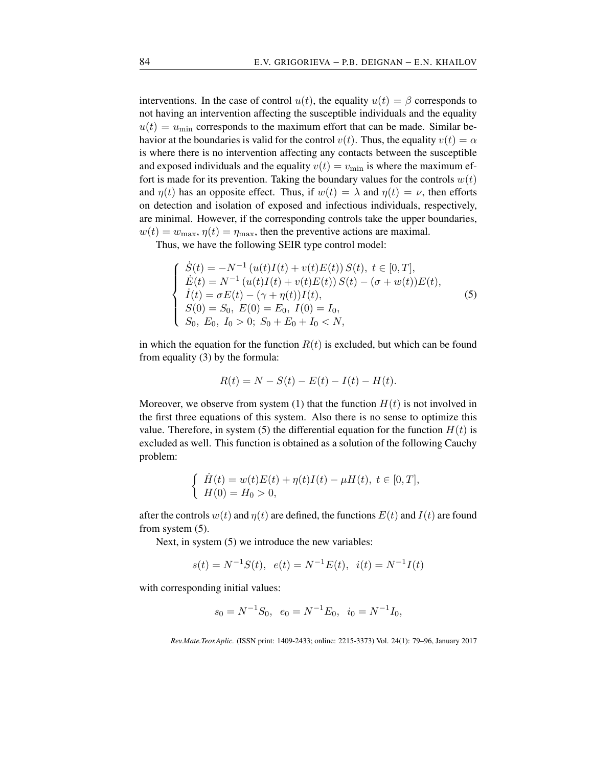interventions. In the case of control  $u(t)$ , the equality  $u(t) = \beta$  corresponds to not having an intervention affecting the susceptible individuals and the equality  $u(t) = u_{\text{min}}$  corresponds to the maximum effort that can be made. Similar behavior at the boundaries is valid for the control  $v(t)$ . Thus, the equality  $v(t) = \alpha$ is where there is no intervention affecting any contacts between the susceptible and exposed individuals and the equality  $v(t) = v_{\text{min}}$  is where the maximum effort is made for its prevention. Taking the boundary values for the controls  $w(t)$ and  $\eta(t)$  has an opposite effect. Thus, if  $w(t) = \lambda$  and  $\eta(t) = \nu$ , then efforts on detection and isolation of exposed and infectious individuals, respectively, are minimal. However, if the corresponding controls take the upper boundaries,  $w(t) = w_{\text{max}}$ ,  $\eta(t) = \eta_{\text{max}}$ , then the preventive actions are maximal.

Thus, we have the following SEIR type control model:

$$
\begin{cases}\n\dot{S}(t) = -N^{-1} (u(t)I(t) + v(t)E(t)) S(t), \ t \in [0, T], \\
\dot{E}(t) = N^{-1} (u(t)I(t) + v(t)E(t)) S(t) - (\sigma + w(t))E(t), \\
\dot{I}(t) = \sigma E(t) - (\gamma + \eta(t))I(t), \\
S(0) = S_0, \ E(0) = E_0, \ I(0) = I_0, \\
S_0, \ E_0, \ I_0 > 0; \ S_0 + E_0 + I_0 < N,\n\end{cases} \tag{5}
$$

in which the equation for the function  $R(t)$  is excluded, but which can be found from equality (3) by the formula:

$$
R(t) = N - S(t) - E(t) - I(t) - H(t).
$$

Moreover, we observe from system (1) that the function  $H(t)$  is not involved in the first three equations of this system. Also there is no sense to optimize this value. Therefore, in system (5) the differential equation for the function  $H(t)$  is excluded as well. This function is obtained as a solution of the following Cauchy problem:

$$
\begin{cases} \dot{H}(t) = w(t)E(t) + \eta(t)I(t) - \mu H(t), \ t \in [0, T], \\ H(0) = H_0 > 0, \end{cases}
$$

after the controls  $w(t)$  and  $\eta(t)$  are defined, the functions  $E(t)$  and  $I(t)$  are found from system (5).

Next, in system  $(5)$  we introduce the new variables:

$$
s(t) = N^{-1}S(t), e(t) = N^{-1}E(t), i(t) = N^{-1}I(t)
$$

with corresponding initial values:

$$
s_0 = N^{-1}S_0
$$
,  $e_0 = N^{-1}E_0$ ,  $i_0 = N^{-1}I_0$ ,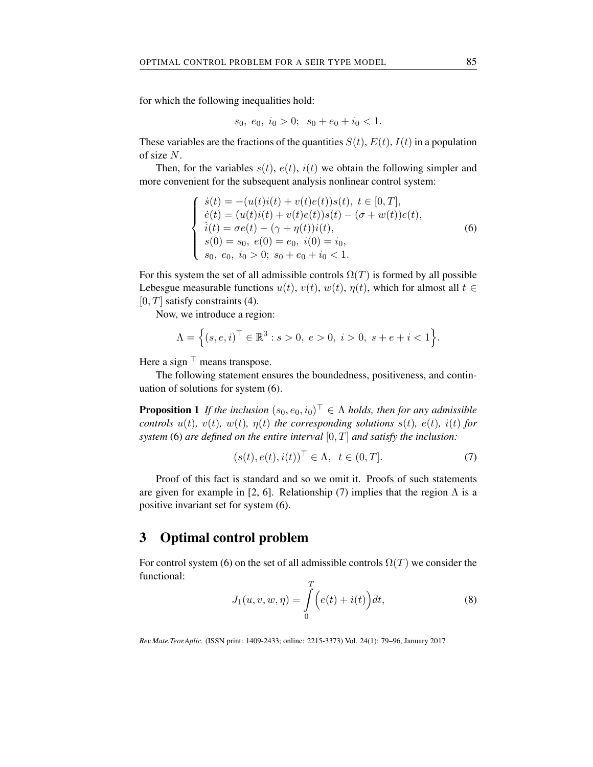for which the following inequalities hold:

$$
s_0, e_0, i_0 > 0; s_0 + e_0 + i_0 < 1.
$$

These variables are the fractions of the quantities  $S(t)$ ,  $E(t)$ ,  $I(t)$  in a population of size *N*.

Then, for the variables  $s(t)$ ,  $e(t)$ ,  $i(t)$  we obtain the following simpler and more convenient for the subsequent analysis nonlinear control system:

$$
\begin{cases}\n\dot{s}(t) = -(u(t)i(t) + v(t)e(t))s(t), \ t \in [0, T], \\
\dot{e}(t) = (u(t)i(t) + v(t)e(t))s(t) - (\sigma + w(t))e(t), \\
\dot{i}(t) = \sigma e(t) - (\gamma + \eta(t))i(t), \\
s(0) = s_0, \ e(0) = e_0, \ i(0) = i_0, \\
s_0, \ e_0, \ i_0 > 0; \ s_0 + e_0 + i_0 < 1.\n\end{cases}
$$
\n(6)

For this system the set of all admissible controls  $\Omega(T)$  is formed by all possible Lebesgue measurable functions  $u(t)$ ,  $v(t)$ ,  $w(t)$ ,  $\eta(t)$ , which for almost all  $t \in$ [0*, T*] satisfy constraints (4).

Now, we introduce a region:

$$
\Lambda = \Big\{(s,e,i)^{\top} \in \mathbb{R}^3 : s > 0, \ e > 0, \ i > 0, \ s + e + i < 1\Big\}.
$$

Here a sign *⊤* means transpose.

The following statement ensures the boundedness, positiveness, and continuation of solutions for system (6).

**Proposition 1** If the inclusion  $(s_0, e_0, i_0)^\top \in \Lambda$  holds, then for any admissible controls  $u(t)$ ,  $v(t)$ ,  $w(t)$ ,  $\eta(t)$  the corresponding solutions  $s(t)$ ,  $e(t)$ ,  $i(t)$  for *system* (6) *are defined on the entire interval* [0*, T*] *and satisfy the inclusion:*

$$
(s(t), e(t), i(t))^\top \in \Lambda, \ t \in (0, T]. \tag{7}
$$

Proof of this fact is standard and so we omit it. Proofs of such statements are given for example in [2, 6]. Relationship (7) implies that the region  $\Lambda$  is a positive invariant set for system (6).

# 3 Optimal control problem

For control system (6) on the set of all admissible controls  $\Omega(T)$  we consider the functional:  $\overline{r}$ 

$$
J_1(u, v, w, \eta) = \int_{0}^{1} (e(t) + i(t)) dt,
$$
\n(8)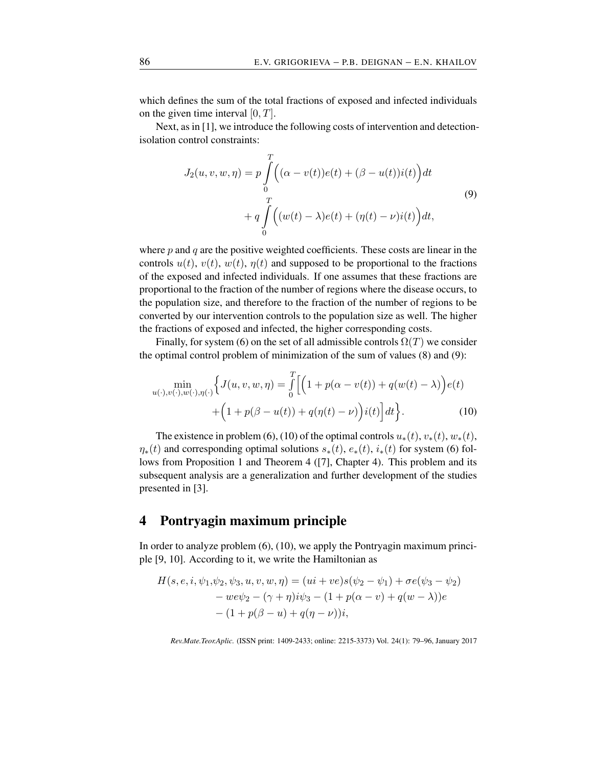which defines the sum of the total fractions of exposed and infected individuals on the given time interval [0*, T*].

Next, as in [1], we introduce the following costs of intervention and detectionisolation control constraints:

$$
J_2(u, v, w, \eta) = p \int_0^T \left( (\alpha - v(t))e(t) + (\beta - u(t))i(t) \right) dt
$$
  
+ 
$$
q \int_0^T \left( (w(t) - \lambda)e(t) + (\eta(t) - \nu)i(t) \right) dt,
$$
 (9)

where *p* and *q* are the positive weighted coefficients. These costs are linear in the controls  $u(t)$ ,  $v(t)$ ,  $w(t)$ ,  $\eta(t)$  and supposed to be proportional to the fractions of the exposed and infected individuals. If one assumes that these fractions are proportional to the fraction of the number of regions where the disease occurs, to the population size, and therefore to the fraction of the number of regions to be converted by our intervention controls to the population size as well. The higher the fractions of exposed and infected, the higher corresponding costs.

Finally, for system (6) on the set of all admissible controls  $\Omega(T)$  we consider the optimal control problem of minimization of the sum of values (8) and (9):

$$
\min_{u(\cdot), v(\cdot), w(\cdot), \eta(\cdot)} \Biggl\{ J(u, v, w, \eta) = \int_{0}^{T} \Biggl[ \Bigl( 1 + p(\alpha - v(t)) + q(w(t) - \lambda) \Bigr) e(t) + \Bigl( 1 + p(\beta - u(t)) + q(\eta(t) - \nu) \Bigr) i(t) \Biggr] dt \Biggr\}.
$$
\n(10)

The existence in problem (6), (10) of the optimal controls  $u_*(t)$ ,  $v_*(t)$ ,  $w_*(t)$ ,  $\eta_*$ (*t*) and corresponding optimal solutions  $s_*(t)$ ,  $e_*(t)$ ,  $i_*(t)$  for system (6) follows from Proposition 1 and Theorem 4 ([7], Chapter 4). This problem and its subsequent analysis are a generalization and further development of the studies presented in [3].

# 4 Pontryagin maximum principle

In order to analyze problem (6), (10), we apply the Pontryagin maximum principle [9, 10]. According to it, we write the Hamiltonian as

$$
H(s, e, i, \psi_1, \psi_2, \psi_3, u, v, w, \eta) = (ui + ve)s(\psi_2 - \psi_1) + \sigma e(\psi_3 - \psi_2)
$$
  
- 
$$
- we\psi_2 - (\gamma + \eta)i\psi_3 - (1 + p(\alpha - v) + q(w - \lambda))e
$$
  
- 
$$
(1 + p(\beta - u) + q(\eta - \nu))i,
$$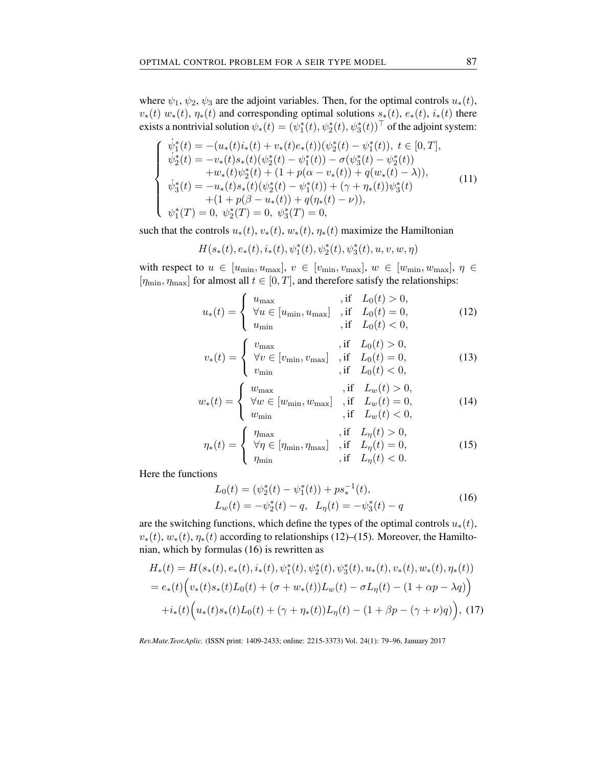where  $\psi_1$ ,  $\psi_2$ ,  $\psi_3$  are the adjoint variables. Then, for the optimal controls  $u_*(t)$ ,  $v_*(t)$   $w_*(t)$ ,  $\eta_*(t)$  and corresponding optimal solutions  $s_*(t)$ ,  $e_*(t)$ ,  $i_*(t)$  there exists a nontrivial solution  $\psi_*(t) = (\psi_1^*(t), \psi_2^*(t), \psi_3^*(t))^\top$  of the adjoint system:

$$
\begin{cases}\n\dot{\psi}_{1}^{*}(t) = -(u_{*}(t)i_{*}(t) + v_{*}(t)e_{*}(t))(\psi_{2}^{*}(t) - \psi_{1}^{*}(t)), \ t \in [0, T], \\
\dot{\psi}_{2}^{*}(t) = -v_{*}(t)s_{*}(t)(\psi_{2}^{*}(t) - \psi_{1}^{*}(t)) - \sigma(\psi_{3}^{*}(t) - \psi_{2}^{*}(t)) \\
+ w_{*}(t)\psi_{2}^{*}(t) + (1 + p(\alpha - v_{*}(t)) + q(w_{*}(t) - \lambda)), \\
\dot{\psi}_{3}^{*}(t) = -u_{*}(t)s_{*}(t)(\psi_{2}^{*}(t) - \psi_{1}^{*}(t)) + (\gamma + \eta_{*}(t))\psi_{3}^{*}(t) \\
+ (1 + p(\beta - u_{*}(t)) + q(\eta_{*}(t) - \nu)), \\
\psi_{1}^{*}(T) = 0, \ \psi_{2}^{*}(T) = 0, \ \psi_{3}^{*}(T) = 0,\n\end{cases} (11)
$$

such that the controls  $u_*(t)$ ,  $v_*(t)$ ,  $w_*(t)$ ,  $\eta_*(t)$  maximize the Hamiltonian

$$
H(s_*(t), e_*(t), i_*(t), \psi_1^*(t), \psi_2^*(t), \psi_3^*(t), u, v, w, \eta)
$$

with respect to  $u \in [u_{\min}, u_{\max}], v \in [v_{\min}, v_{\max}], w \in [w_{\min}, w_{\max}], \eta \in$  $[\eta_{\min}, \eta_{\max}]$  for almost all  $t \in [0, T]$ , and therefore satisfy the relationships:

$$
u_{*}(t) = \begin{cases} u_{\max} & , \text{if } L_{0}(t) > 0, \\ \forall u \in [u_{\min}, u_{\max}] , \text{if } L_{0}(t) = 0, \\ u_{\min} , \text{if } L_{0}(t) < 0, \end{cases}
$$
(12)

$$
v_{*}(t) = \begin{cases} v_{\max} & , \text{if } L_{0}(t) > 0, \\ \forall v \in [v_{\min}, v_{\max}] & , \text{if } L_{0}(t) = 0, \\ v_{\min} & , \text{if } L_{0}(t) < 0, \end{cases}
$$
(13)

$$
w_*(t) = \begin{cases} w_{\text{max}} & \text{if } L_w(t) > 0, \\ \forall w \in [w_{\text{min}}, w_{\text{max}}] & \text{if } L_w(t) = 0, \\ w_{\text{min}} & \text{if } L_w(t) < 0, \end{cases} \tag{14}
$$

$$
\eta_*(t) = \begin{cases} \eta_{\text{max}} & \text{if } L_\eta(t) > 0, \\ \forall \eta \in [\eta_{\text{min}}, \eta_{\text{max}}] & \text{if } L_\eta(t) = 0, \\ \eta_{\text{min}} & \text{if } L_\eta(t) < 0. \end{cases} \tag{15}
$$

Here the functions

$$
L_0(t) = (\psi_2^*(t) - \psi_1^*(t)) + ps_*^{-1}(t),
$$
  
\n
$$
L_w(t) = -\psi_2^*(t) - q, \quad L_\eta(t) = -\psi_3^*(t) - q
$$
\n(16)

are the switching functions, which define the types of the optimal controls  $u_*(t)$ ,  $v_*(t)$ ,  $w_*(t)$ ,  $\eta_*(t)$  according to relationships (12)–(15). Moreover, the Hamiltonian, which by formulas (16) is rewritten as

$$
H_*(t) = H(s_*(t), e_*(t), i_*(t), \psi_1^*(t), \psi_2^*(t), \psi_3^*(t), u_*(t), v_*(t), w_*(t), \eta_*(t))
$$
  
=  $e_*(t) \Big( v_*(t) s_*(t) L_0(t) + (\sigma + w_*(t)) L_w(t) - \sigma L_\eta(t) - (1 + \alpha p - \lambda q) \Big)$   
+  $i_*(t) \Big( u_*(t) s_*(t) L_0(t) + (\gamma + \eta_*(t)) L_\eta(t) - (1 + \beta p - (\gamma + \nu) q) \Big),$  (17)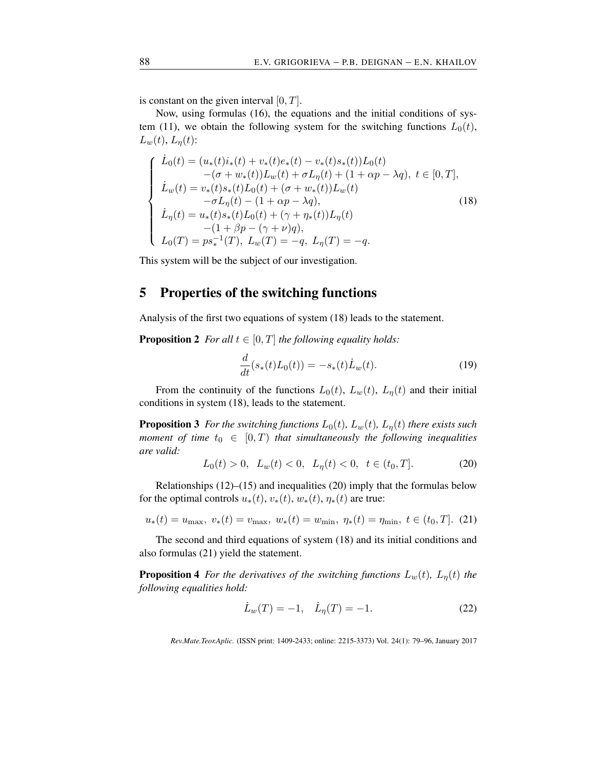is constant on the given interval [0*, T*].

Now, using formulas (16), the equations and the initial conditions of system (11), we obtain the following system for the switching functions  $L_0(t)$ ,  $L_w(t)$ ,  $L_\eta(t)$ :

$$
\begin{cases}\n\dot{L}_0(t) = (u_*(t)i_*(t) + v_*(t)e_*(t) - v_*(t)s_*(t))L_0(t) \\
-(\sigma + w_*(t))L_w(t) + \sigma L_\eta(t) + (1 + \alpha p - \lambda q), \ t \in [0, T], \\
\dot{L}_w(t) = v_*(t)s_*(t)L_0(t) + (\sigma + w_*(t))L_w(t) \\
-\sigma L_\eta(t) - (1 + \alpha p - \lambda q), \\
\dot{L}_\eta(t) = u_*(t)s_*(t)L_0(t) + (\gamma + \eta_*(t))L_\eta(t) \\
-(1 + \beta p - (\gamma + \nu)q), \\
L_0(T) = ps_*^{-1}(T), \ L_w(T) = -q, \ L_\eta(T) = -q.\n\end{cases}
$$
\n(18)

This system will be the subject of our investigation.

# 5 Properties of the switching functions

Analysis of the first two equations of system (18) leads to the statement.

**Proposition 2** *For all*  $t \in [0, T]$  *the following equality holds:* 

$$
\frac{d}{dt}(s_*(t)L_0(t)) = -s_*(t)\dot{L}_w(t).
$$
\n(19)

From the continuity of the functions  $L_0(t)$ ,  $L_w(t)$ ,  $L_\eta(t)$  and their initial conditions in system (18), leads to the statement.

**Proposition 3** For the switching functions  $L_0(t)$ ,  $L_w(t)$ ,  $L_\eta(t)$  there exists such *moment of time*  $t_0 \in [0, T)$  *that simultaneously the following inequalities are valid:*

$$
L_0(t) > 0, \ L_w(t) < 0, \ L_\eta(t) < 0, \ t \in (t_0, T]. \tag{20}
$$

Relationships  $(12)$ – $(15)$  and inequalities  $(20)$  imply that the formulas below for the optimal controls  $u_*(t)$ ,  $v_*(t)$ ,  $w_*(t)$ ,  $\eta_*(t)$  are true:

$$
u_*(t) = u_{\text{max}}, \ v_*(t) = v_{\text{max}}, \ w_*(t) = w_{\text{min}}, \ \eta_*(t) = \eta_{\text{min}}, \ t \in (t_0, T]. \tag{21}
$$

The second and third equations of system (18) and its initial conditions and also formulas (21) yield the statement.

**Proposition 4** *For the derivatives of the switching functions*  $L_w(t)$ *,*  $L_\eta(t)$  *the following equalities hold:*

$$
\dot{L}_w(T) = -1, \quad \dot{L}_\eta(T) = -1.
$$
\n(22)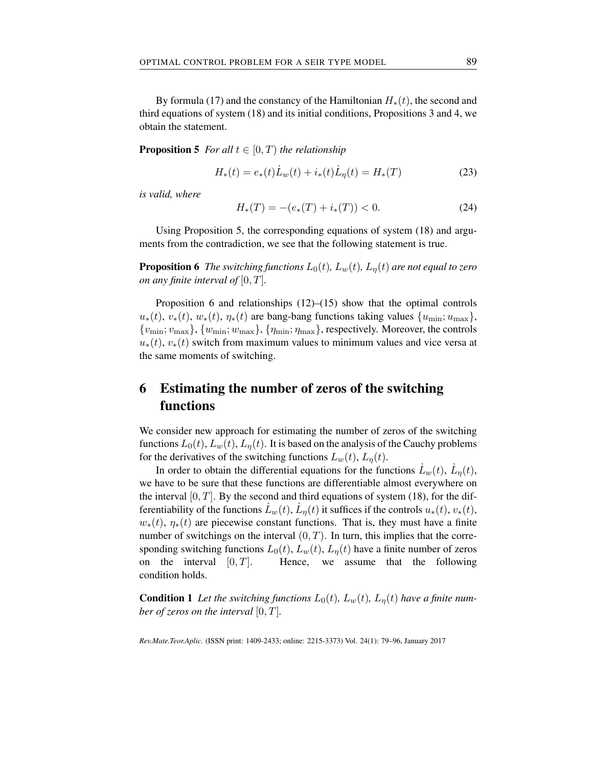By formula (17) and the constancy of the Hamiltonian *H∗*(*t*), the second and third equations of system (18) and its initial conditions, Propositions 3 and 4, we obtain the statement.

**Proposition 5** *For all*  $t \in [0, T)$  *the relationship* 

$$
H_*(t) = e_*(t)\dot{L}_w(t) + i_*(t)\dot{L}_\eta(t) = H_*(T)
$$
\n(23)

*is valid, where*

$$
H_*(T) = -(e_*(T) + i_*(T)) < 0. \tag{24}
$$

Using Proposition 5, the corresponding equations of system (18) and arguments from the contradiction, we see that the following statement is true.

**Proposition 6** *The switching functions*  $L_0(t)$ *,*  $L_w(t)$ *,*  $L_n(t)$  *are not equal to zero on any finite interval of*  $[0, T]$ *.* 

Proposition 6 and relationships  $(12)$ – $(15)$  show that the optimal controls  $u_*(t)$ ,  $v_*(t)$ ,  $w_*(t)$ ,  $\eta_*(t)$  are bang-bang functions taking values  $\{u_{\min}; u_{\max}\},$  $\{v_{\min}; v_{\max}\}, \{w_{\min}; w_{\max}\}, \{\eta_{\min}; \eta_{\max}\},$  respectively. Moreover, the controls  $u_{*}(t)$ ,  $v_{*}(t)$  switch from maximum values to minimum values and vice versa at the same moments of switching.

# 6 Estimating the number of zeros of the switching functions

We consider new approach for estimating the number of zeros of the switching functions  $L_0(t)$ ,  $L_w(t)$ ,  $L_\eta(t)$ . It is based on the analysis of the Cauchy problems for the derivatives of the switching functions  $L_w(t)$ ,  $L_\eta(t)$ .

In order to obtain the differential equations for the functions  $\dot{L}_w(t)$ ,  $\dot{L}_\eta(t)$ , we have to be sure that these functions are differentiable almost everywhere on the interval  $[0, T]$ . By the second and third equations of system (18), for the differentiability of the functions  $\dot{L}_w(t)$ ,  $\dot{L}_\eta(t)$  it suffices if the controls  $u_*(t)$ ,  $v_*(t)$ ,  $w_*(t)$ ,  $\eta_*(t)$  are piecewise constant functions. That is, they must have a finite number of switchings on the interval  $(0, T)$ . In turn, this implies that the corresponding switching functions  $L_0(t)$ ,  $L_w(t)$ ,  $L_\eta(t)$  have a finite number of zeros on the interval  $[0, T]$ . Hence, we assume that the following condition holds.

**Condition 1** Let the switching functions  $L_0(t)$ ,  $L_w(t)$ ,  $L_n(t)$  have a finite num*ber of zeros on the interval* [0*, T*]*.*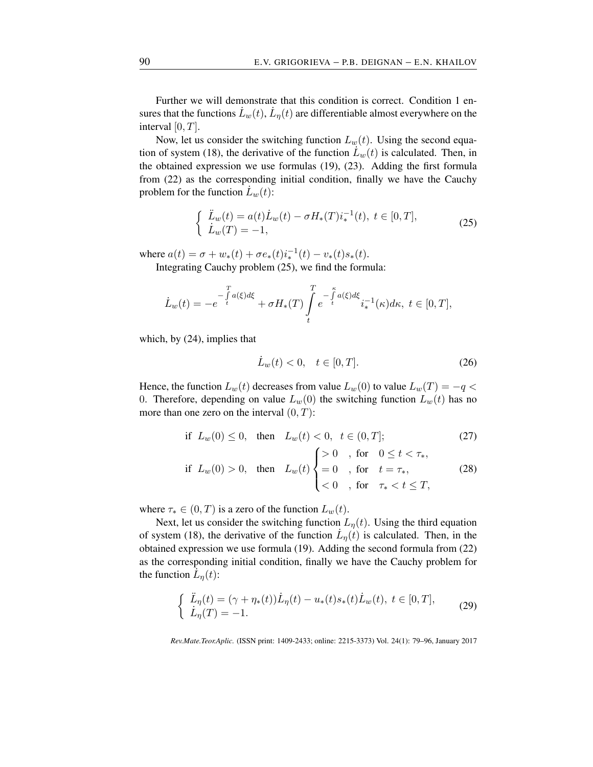Further we will demonstrate that this condition is correct. Condition 1 ensures that the functions  $\dot{L}_w(t),\dot{L}_\eta(t)$  are differentiable almost everywhere on the interval [0*, T*].

Now, let us consider the switching function  $L_w(t)$ . Using the second equation of system (18), the derivative of the function  $\dot{L}_w(t)$  is calculated. Then, in the obtained expression we use formulas (19), (23). Adding the first formula from (22) as the corresponding initial condition, finally we have the Cauchy problem for the function  $\dot{L}_w(t)$ :

$$
\begin{cases}\n\ddot{L}_w(t) = a(t)\dot{L}_w(t) - \sigma H_*(T)i_*^{-1}(t), \ t \in [0, T], \\
\dot{L}_w(T) = -1,\n\end{cases} \tag{25}
$$

where  $a(t) = \sigma + w_*(t) + \sigma e_*(t) i_*^{-1}(t) - v_*(t) s_*(t)$ .

Integrating Cauchy problem (25), we find the formula:

$$
\dot{L}_w(t) = -e^{-\int\limits_t^T a(\xi)d\xi} + \sigma H_*(T) \int\limits_t^T e^{-\int\limits_t^{\kappa} a(\xi)d\xi} i_*^{-1}(\kappa)d\kappa, \ t \in [0,T],
$$

which, by (24), implies that

$$
\dot{L}_w(t) < 0, \quad t \in [0, T].\tag{26}
$$

Hence, the function  $L_w(t)$  decreases from value  $L_w(0)$  to value  $L_w(T) = -q$ 0. Therefore, depending on value  $L_w(0)$  the switching function  $L_w(t)$  has no more than one zero on the interval (0*, T*):

$$
\text{if } L_w(0) \le 0, \quad \text{then } L_w(t) < 0, \quad t \in (0, T]; \tag{27}
$$

$$
\text{if } L_w(0) > 0, \quad \text{then} \quad L_w(t) \begin{cases} > 0, \quad \text{for} \quad 0 \le t < \tau_*, \\ = 0, \quad \text{for} \quad t = \tau_*, \\ < 0, \quad \text{for} \quad \tau_* < t \le T, \end{cases} \tag{28}
$$

where  $\tau_* \in (0, T)$  is a zero of the function  $L_w(t)$ .

Next, let us consider the switching function  $L_n(t)$ . Using the third equation of system (18), the derivative of the function  $\dot{L}_{\eta}(t)$  is calculated. Then, in the obtained expression we use formula (19). Adding the second formula from (22) as the corresponding initial condition, finally we have the Cauchy problem for the function  $\vec{L}_{\eta}(t)$ :

$$
\begin{cases} \n\ddot{L}_{\eta}(t) = (\gamma + \eta_*(t)) \dot{L}_{\eta}(t) - u_*(t) s_*(t) \dot{L}_w(t), \ t \in [0, T],\\ \n\dot{L}_{\eta}(T) = -1. \n\end{cases} \tag{29}
$$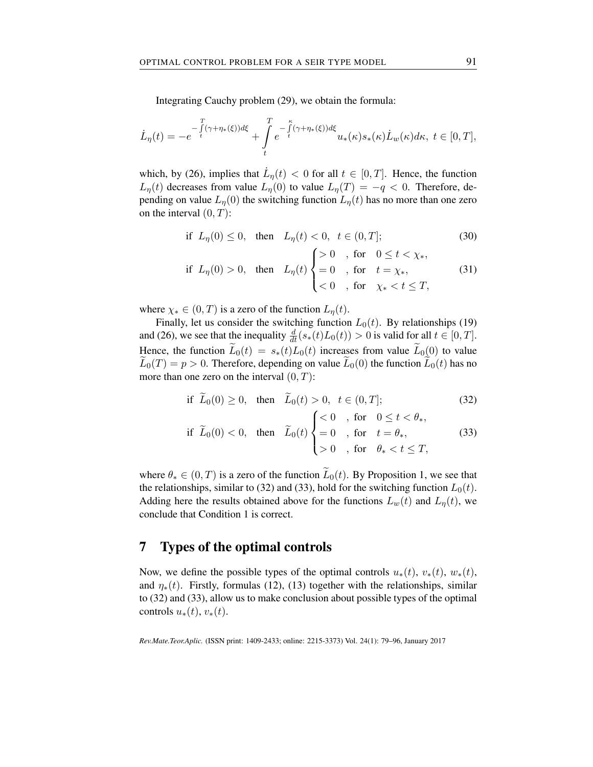Integrating Cauchy problem (29), we obtain the formula:

$$
\dot{L}_\eta(t)=-e^{-\int\limits_t^T(\gamma+\eta_*(\xi))d\xi}+\int\limits_t^Te^{-\int\limits_t^\kappa(\gamma+\eta_*(\xi))d\xi}u_*(\kappa)s_*(\kappa)\dot{L}_w(\kappa)d\kappa,\ t\in[0,T],
$$

which, by (26), implies that  $\dot{L}_{\eta}(t) < 0$  for all  $t \in [0, T]$ . Hence, the function *L*<sub>*n*</sub>(*t*) decreases from value *L*<sub>*n*</sub></sub>(0) to value *L*<sub>*n*</sub>(*T*) = −*q* < 0. Therefore, depending on value  $L_{\eta}(0)$  the switching function  $L_{\eta}(t)$  has no more than one zero on the interval (0*, T*):

if 
$$
L_{\eta}(0) \le 0
$$
, then  $L_{\eta}(t) < 0$ ,  $t \in (0, T]$ ; (30)

$$
\text{if } L_{\eta}(0) > 0, \quad \text{then} \quad L_{\eta}(t) \begin{cases} > 0, \quad \text{for} \quad 0 \leq t < \chi_{*}, \\ = 0, \quad \text{for} \quad t = \chi_{*}, \\ < 0, \quad \text{for} \quad \chi_{*} < t \leq T, \end{cases} \tag{31}
$$

where  $\chi^* \in (0, T)$  is a zero of the function  $L_\eta(t)$ .

Finally, let us consider the switching function  $L_0(t)$ . By relationships (19) and (26), we see that the inequality  $\frac{d}{dt}(s_*(t)L_0(t)) > 0$  is valid for all  $t \in [0, T]$ . Hence, the function  $\widetilde{L}_0(t) = s_*(t)L_0(t)$  increases from value  $\widetilde{L}_0(0)$  to value  $\tilde{L}_0(T) = p > 0$ . Therefore, depending on value  $\tilde{L}_0(0)$  the function  $\tilde{L}_0(t)$  has no more than one zero on the interval (0*, T*):

$$
\begin{aligned}\n\text{if } \widetilde{L}_0(0) \ge 0, \quad \text{then } \widetilde{L}_0(t) > 0, \quad t \in (0, T]; \\
\text{if } \widetilde{L}_0(0) < 0, \quad \text{then } \widetilde{L}_0(t) \begin{cases}\n& < 0, \quad \text{for } 0 \le t < \theta_*, \\
& = 0, \quad \text{for } t = \theta_*, \\
& > 0, \quad \text{for } \theta_* < t \le T,\n\end{cases}\n\end{aligned} \tag{32}
$$

where  $\theta_* \in (0,T)$  is a zero of the function  $\widetilde{L}_0(t)$ . By Proposition 1, we see that the relationships, similar to (32) and (33), hold for the switching function  $L_0(t)$ . Adding here the results obtained above for the functions  $L_w(t)$  and  $L_n(t)$ , we conclude that Condition 1 is correct.

### 7 Types of the optimal controls

Now, we define the possible types of the optimal controls  $u_*(t)$ ,  $v_*(t)$ ,  $w_*(t)$ , and  $\eta_*(t)$ . Firstly, formulas (12), (13) together with the relationships, similar to (32) and (33), allow us to make conclusion about possible types of the optimal controls  $u_*(t)$ ,  $v_*(t)$ .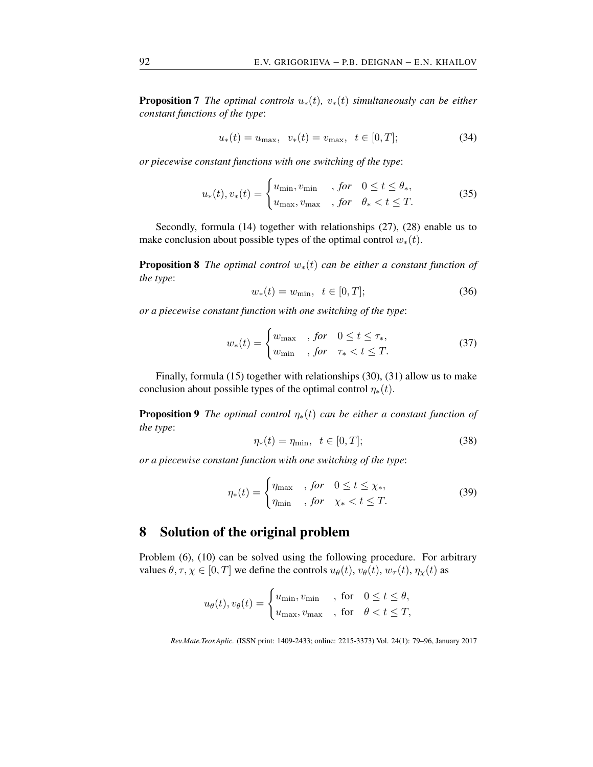**Proposition 7** *The optimal controls*  $u_*(t)$ *,*  $v_*(t)$  *simultaneously can be either constant functions of the type*:

$$
u_*(t) = u_{\text{max}}, \ \ v_*(t) = v_{\text{max}}, \ \ t \in [0, T]; \tag{34}
$$

*or piecewise constant functions with one switching of the type*:

$$
u_*(t), v_*(t) = \begin{cases} u_{\min}, v_{\min} & , \text{ for } 0 \le t \le \theta_*, \\ u_{\max}, v_{\max} & , \text{ for } \theta_* < t \le T. \end{cases}
$$
 (35)

Secondly, formula (14) together with relationships (27), (28) enable us to make conclusion about possible types of the optimal control  $w_*(t)$ .

Proposition 8 *The optimal control w∗*(*t*) *can be either a constant function of the type*:

$$
w_*(t) = w_{\min}, \ \ t \in [0, T]; \tag{36}
$$

*or a piecewise constant function with one switching of the type*:

$$
w_*(t) = \begin{cases} w_{\text{max}} & \text{, for} \quad 0 \le t \le \tau_*, \\ w_{\text{min}} & \text{, for} \quad \tau_* < t \le T. \end{cases} \tag{37}
$$

Finally, formula (15) together with relationships (30), (31) allow us to make conclusion about possible types of the optimal control  $\eta_*(t)$ .

**Proposition 9** *The optimal control*  $\eta_*(t)$  *can be either a constant function of the type*:

$$
\eta_*(t) = \eta_{\min}, \quad t \in [0, T]; \tag{38}
$$

*or a piecewise constant function with one switching of the type*:

$$
\eta_*(t) = \begin{cases} \eta_{\text{max}} & \text{, for} \quad 0 \le t \le \chi_*, \\ \eta_{\text{min}} & \text{, for} \quad \chi_* < t \le T. \end{cases} \tag{39}
$$

# 8 Solution of the original problem

Problem (6), (10) can be solved using the following procedure. For arbitrary values  $\theta, \tau, \chi \in [0, T]$  we define the controls  $u_{\theta}(t), v_{\theta}(t), w_{\tau}(t), \eta_{\chi}(t)$  as

$$
u_{\theta}(t), v_{\theta}(t) = \begin{cases} u_{\min}, v_{\min} , & \text{for} \quad 0 \le t \le \theta, \\ u_{\max}, v_{\max} , & \text{for} \quad \theta < t \le T, \end{cases}
$$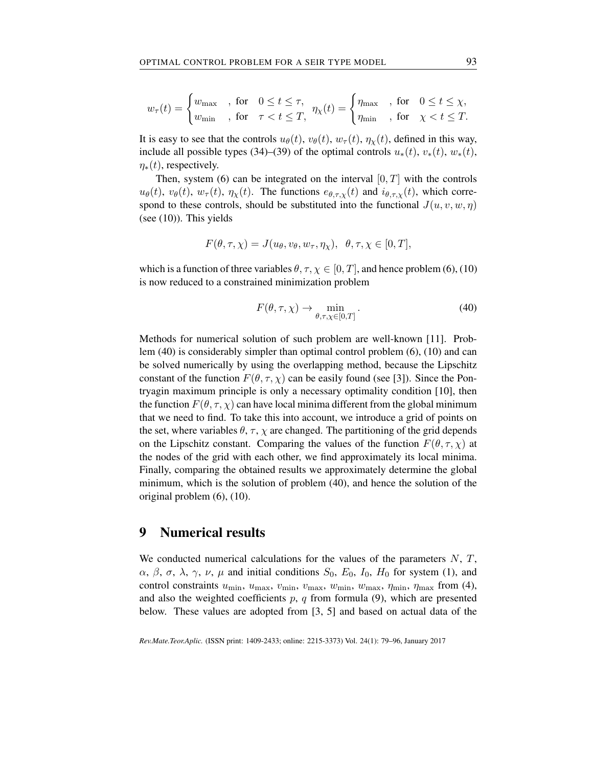$$
w_\tau(t) = \begin{cases} w_{\text{max}} & \text{, for} \quad 0 \leq t \leq \tau, \\ w_{\text{min}} & \text{, for} \quad \tau < t \leq T, \end{cases} \eta_\chi(t) = \begin{cases} \eta_{\text{max}} & \text{, for} \quad 0 \leq t \leq \chi, \\ \eta_{\text{min}} & \text{, for} \quad \chi < t \leq T. \end{cases}
$$

It is easy to see that the controls  $u_{\theta}(t)$ ,  $v_{\theta}(t)$ ,  $w_{\tau}(t)$ ,  $\eta_{\gamma}(t)$ , defined in this way, include all possible types (34)–(39) of the optimal controls  $u_*(t)$ ,  $v_*(t)$ ,  $w_*(t)$ ,  $\eta_*(t)$ , respectively.

Then, system (6) can be integrated on the interval  $[0, T]$  with the controls  $u_{\theta}(t)$ ,  $v_{\theta}(t)$ ,  $w_{\tau}(t)$ ,  $\eta_{\chi}(t)$ . The functions  $e_{\theta,\tau,\chi}(t)$  and  $i_{\theta,\tau,\chi}(t)$ , which correspond to these controls, should be substituted into the functional  $J(u, v, w, \eta)$ (see  $(10)$ ). This yields

$$
F(\theta, \tau, \chi) = J(u_{\theta}, v_{\theta}, w_{\tau}, \eta_{\chi}), \ \ \theta, \tau, \chi \in [0, T],
$$

which is a function of three variables  $\theta$ ,  $\tau$ ,  $\chi \in [0, T]$ , and hence problem (6), (10) is now reduced to a constrained minimization problem

$$
F(\theta, \tau, \chi) \to \min_{\theta, \tau, \chi \in [0, T]}.
$$
\n(40)

Methods for numerical solution of such problem are well-known [11]. Problem (40) is considerably simpler than optimal control problem (6), (10) and can be solved numerically by using the overlapping method, because the Lipschitz constant of the function  $F(\theta, \tau, \chi)$  can be easily found (see [3]). Since the Pontryagin maximum principle is only a necessary optimality condition [10], then the function  $F(\theta, \tau, \chi)$  can have local minima different from the global minimum that we need to find. To take this into account, we introduce a grid of points on the set, where variables  $\theta$ ,  $\tau$ ,  $\chi$  are changed. The partitioning of the grid depends on the Lipschitz constant. Comparing the values of the function  $F(\theta, \tau, \chi)$  at the nodes of the grid with each other, we find approximately its local minima. Finally, comparing the obtained results we approximately determine the global minimum, which is the solution of problem (40), and hence the solution of the original problem (6), (10).

### 9 Numerical results

We conducted numerical calculations for the values of the parameters *N*, *T*, *α*, *β*, *σ*, *λ*, *γ*, *ν*, *μ* and initial conditions *S*<sub>0</sub>, *E*<sub>0</sub>, *I*<sub>0</sub>, *H*<sub>0</sub> for system (1), and control constraints *u*min, *u*max, *v*min, *v*max, *w*min, *w*max, *η*min, *η*max from (4), and also the weighted coefficients *p*, *q* from formula (9), which are presented below. These values are adopted from [3, 5] and based on actual data of the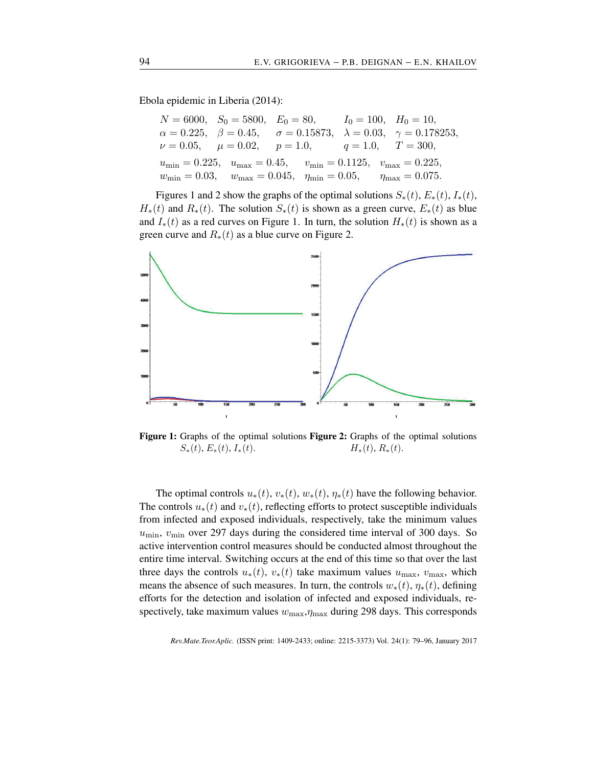Ebola epidemic in Liberia (2014):

|  | $N = 6000$ , $S_0 = 5800$ , $E_0 = 80$ , $I_0 = 100$ , $H_0 = 10$ ,                                                     |                                                                                                              |
|--|-------------------------------------------------------------------------------------------------------------------------|--------------------------------------------------------------------------------------------------------------|
|  |                                                                                                                         | $\alpha = 0.225, \quad \beta = 0.45, \quad \sigma = 0.15873, \quad \lambda = 0.03, \quad \gamma = 0.178253,$ |
|  | $\nu = 0.05,$ $\mu = 0.02,$ $p = 1.0,$ $q = 1.0,$ $T = 300,$                                                            |                                                                                                              |
|  | $u_{\min} = 0.225$ , $u_{\max} = 0.45$ , $v_{\min} = 0.1125$ , $v_{\max} = 0.225$ ,                                     |                                                                                                              |
|  | $w_{\text{min}} = 0.03, \quad w_{\text{max}} = 0.045, \quad \eta_{\text{min}} = 0.05, \quad \eta_{\text{max}} = 0.075.$ |                                                                                                              |

Figures 1 and 2 show the graphs of the optimal solutions  $S_*(t)$ ,  $E_*(t)$ ,  $I_*(t)$ ,  $H_*(t)$  and  $R_*(t)$ . The solution  $S_*(t)$  is shown as a green curve,  $E_*(t)$  as blue and  $I_*(t)$  as a red curves on Figure 1. In turn, the solution  $H_*(t)$  is shown as a green curve and *R∗*(*t*) as a blue curve on Figure 2.



Figure 1: Graphs of the optimal solutions Figure 2: Graphs of the optimal solutions  $S_*(t)$ ,  $E_*(t)$ ,  $I_*(t)$ .  $H_*(t)$ ,  $R_*(t)$ .

The optimal controls  $u_*(t)$ ,  $v_*(t)$ ,  $w_*(t)$ ,  $\eta_*(t)$  have the following behavior. The controls  $u_*(t)$  and  $v_*(t)$ , reflecting efforts to protect susceptible individuals from infected and exposed individuals, respectively, take the minimum values  $u_{\text{min}}$ ,  $v_{\text{min}}$  over 297 days during the considered time interval of 300 days. So active intervention control measures should be conducted almost throughout the entire time interval. Switching occurs at the end of this time so that over the last three days the controls  $u_*(t)$ ,  $v_*(t)$  take maximum values  $u_{\text{max}}$ ,  $v_{\text{max}}$ , which means the absence of such measures. In turn, the controls  $w_*(t)$ ,  $\eta_*(t)$ , defining efforts for the detection and isolation of infected and exposed individuals, respectively, take maximum values *w*max,*η*max during 298 days. This corresponds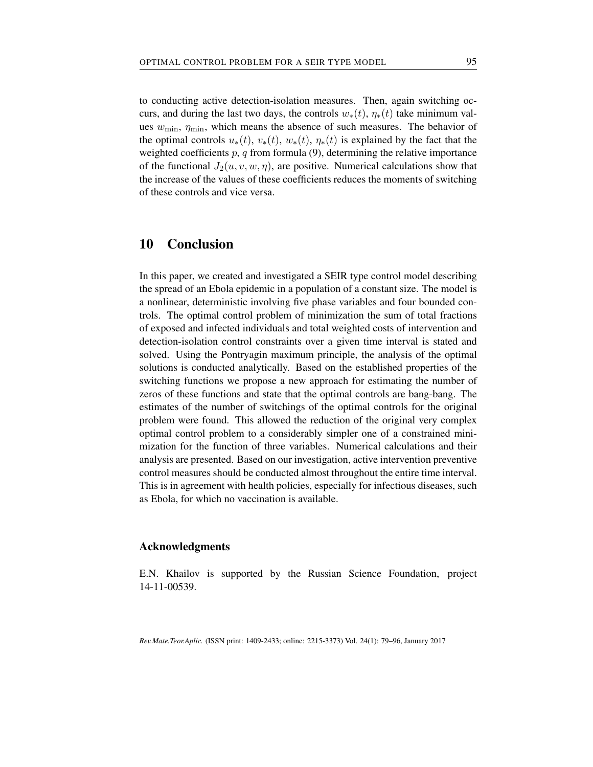to conducting active detection-isolation measures. Then, again switching occurs, and during the last two days, the controls  $w_*(t)$ ,  $\eta_*(t)$  take minimum values  $w_{\text{min}}$ ,  $\eta_{\text{min}}$ , which means the absence of such measures. The behavior of the optimal controls  $u_*(t)$ ,  $v_*(t)$ ,  $w_*(t)$ ,  $\eta_*(t)$  is explained by the fact that the weighted coefficients  $p$ ,  $q$  from formula (9), determining the relative importance of the functional  $J_2(u, v, w, \eta)$ , are positive. Numerical calculations show that the increase of the values of these coefficients reduces the moments of switching of these controls and vice versa.

## 10 Conclusion

In this paper, we created and investigated a SEIR type control model describing the spread of an Ebola epidemic in a population of a constant size. The model is a nonlinear, deterministic involving five phase variables and four bounded controls. The optimal control problem of minimization the sum of total fractions of exposed and infected individuals and total weighted costs of intervention and detection-isolation control constraints over a given time interval is stated and solved. Using the Pontryagin maximum principle, the analysis of the optimal solutions is conducted analytically. Based on the established properties of the switching functions we propose a new approach for estimating the number of zeros of these functions and state that the optimal controls are bang-bang. The estimates of the number of switchings of the optimal controls for the original problem were found. This allowed the reduction of the original very complex optimal control problem to a considerably simpler one of a constrained minimization for the function of three variables. Numerical calculations and their analysis are presented. Based on our investigation, active intervention preventive control measures should be conducted almost throughout the entire time interval. This is in agreement with health policies, especially for infectious diseases, such as Ebola, for which no vaccination is available.

#### Acknowledgments

E.N. Khailov is supported by the Russian Science Foundation, project 14-11-00539.